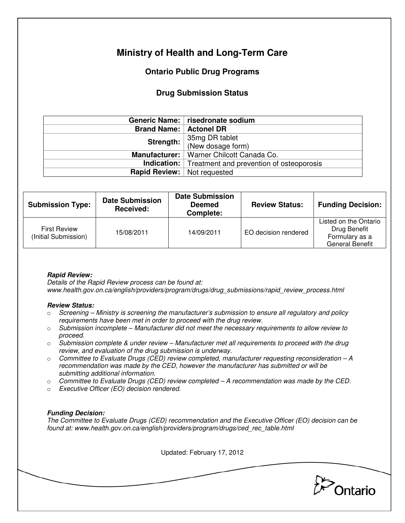# **Ministry of Health and Long-Term Care**

## **Ontario Public Drug Programs**

## **Drug Submission Status**

|                    | Generic Name:   risedronate sodium                          |  |
|--------------------|-------------------------------------------------------------|--|
| <b>Brand Name:</b> | <b>Actonel DR</b>                                           |  |
| Strength:          | 35mg DR tablet                                              |  |
|                    | (New dosage form)                                           |  |
| Manufacturer:      | Warner Chilcott Canada Co.                                  |  |
|                    | <b>Indication:</b> Treatment and prevention of osteoporosis |  |
|                    | <b>Rapid Review:</b>   Not requested                        |  |

| <b>Submission Type:</b>                     | <b>Date Submission</b><br>Received: | <b>Date Submission</b><br><b>Deemed</b><br>Complete: | <b>Review Status:</b> | <b>Funding Decision:</b>                                                          |
|---------------------------------------------|-------------------------------------|------------------------------------------------------|-----------------------|-----------------------------------------------------------------------------------|
| <b>First Review</b><br>(Initial Submission) | 15/08/2011                          | 14/09/2011                                           | EO decision rendered  | Listed on the Ontario<br>Drug Benefit<br>Formulary as a<br><b>General Benefit</b> |

### **Rapid Review:**

Details of the Rapid Review process can be found at: www.health.gov.on.ca/english/providers/program/drugs/drug\_submissions/rapid\_review\_process.html

#### **Review Status:**

- $\circ$  Screening Ministry is screening the manufacturer's submission to ensure all regulatory and policy requirements have been met in order to proceed with the drug review.
- $\circ$  Submission incomplete Manufacturer did not meet the necessary requirements to allow review to proceed.
- $\circ$  Submission complete & under review Manufacturer met all requirements to proceed with the drug review, and evaluation of the drug submission is underway.
- $\circ$  Committee to Evaluate Drugs (CED) review completed, manufacturer requesting reconsideration  $-A$ recommendation was made by the CED, however the manufacturer has submitted or will be submitting additional information.
- $\circ$  Committee to Evaluate Drugs (CED) review completed A recommendation was made by the CED.
- o Executive Officer (EO) decision rendered.

### **Funding Decision:**

The Committee to Evaluate Drugs (CED) recommendation and the Executive Officer (EO) decision can be found at: www.health.gov.on.ca/english/providers/program/drugs/ced\_rec\_table.html

Updated: February 17, 2012